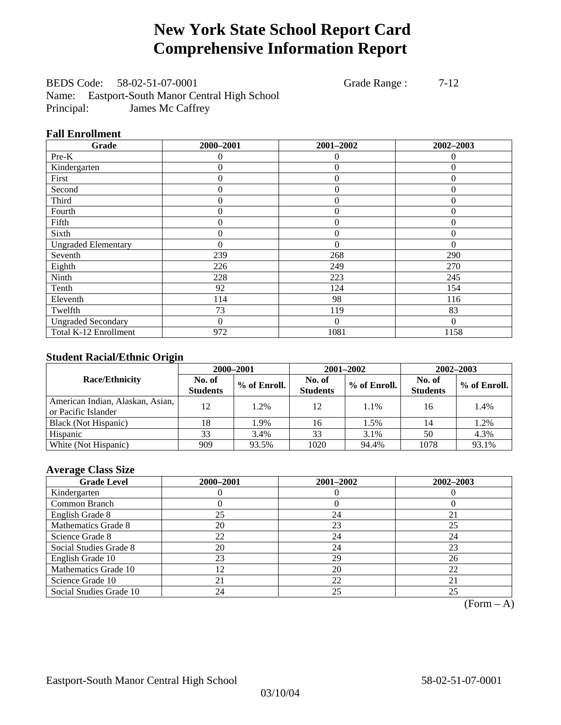## **New York State School Report Card Comprehensive Information Report**

BEDS Code: 58-02-51-07-0001 Grade Range : 7-12 Name: Eastport-South Manor Central High School Principal: James Mc Caffrey

#### **Fall Enrollment**

| Grade                      | 2000-2001 | 2001-2002      | 2002-2003 |
|----------------------------|-----------|----------------|-----------|
| Pre-K                      | 0         | 0              | $\theta$  |
| Kindergarten               | 0         | $\theta$       | $\Omega$  |
| First                      | 0         | $\overline{0}$ | $\Omega$  |
| Second                     | 0         | $\theta$       | $\Omega$  |
| Third                      | 0         | $\overline{0}$ | 0         |
| Fourth                     | $\theta$  | $\theta$       | $\Omega$  |
| Fifth                      | 0         | $\overline{0}$ | $\Omega$  |
| Sixth                      | 0         | $\overline{0}$ | $\Omega$  |
| <b>Ungraded Elementary</b> | $\theta$  | $\theta$       | $\theta$  |
| Seventh                    | 239       | 268            | 290       |
| Eighth                     | 226       | 249            | 270       |
| Ninth                      | 228       | 223            | 245       |
| Tenth                      | 92        | 124            | 154       |
| Eleventh                   | 114       | 98             | 116       |
| Twelfth                    | 73        | 119            | 83        |
| <b>Ungraded Secondary</b>  | 0         | $\Omega$       | $\Omega$  |
| Total K-12 Enrollment      | 972       | 1081           | 1158      |

### **Student Racial/Ethnic Origin**

|                                                         |                           | 2000-2001<br>2001-2002<br>2002-2003 |                           |              |                           |                |
|---------------------------------------------------------|---------------------------|-------------------------------------|---------------------------|--------------|---------------------------|----------------|
| <b>Race/Ethnicity</b>                                   | No. of<br><b>Students</b> | % of Enroll.                        | No. of<br><b>Students</b> | % of Enroll. | No. of<br><b>Students</b> | $%$ of Enroll. |
| American Indian, Alaskan, Asian,<br>or Pacific Islander | 12                        | 1.2%                                | 12                        | 1.1%         | 16                        | 1.4%           |
| Black (Not Hispanic)                                    | 18                        | 1.9%                                | 16                        | 1.5%         | 14                        | 1.2%           |
| Hispanic                                                | 33                        | 3.4%                                | 33                        | 3.1%         | 50                        | 4.3%           |
| White (Not Hispanic)                                    | 909                       | 93.5%                               | 1020                      | 94.4%        | 1078                      | 93.1%          |

### **Average Class Size**

| <b>Grade Level</b>      | 2000-2001 | 2001-2002 | 2002-2003 |
|-------------------------|-----------|-----------|-----------|
| Kindergarten            |           |           |           |
| Common Branch           |           |           |           |
| English Grade 8         | 25        | 24        | 21        |
| Mathematics Grade 8     | 20        | 23        | 25        |
| Science Grade 8         | 22        | 24        | 24        |
| Social Studies Grade 8  | 20        | 24        | 23        |
| English Grade 10        | 23        | 29        | 26        |
| Mathematics Grade 10    | 12        | 20        | 22        |
| Science Grade 10        | 21        | 22        | 21        |
| Social Studies Grade 10 | 24        | 25        | 25        |

 $(Form - A)$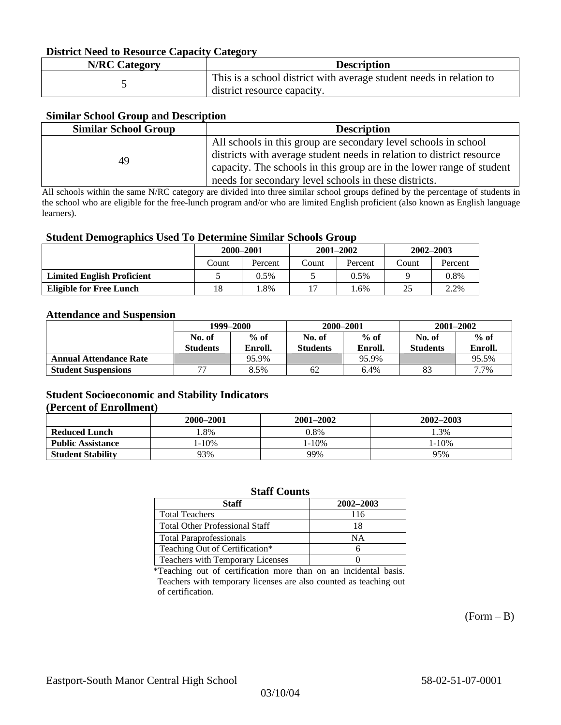#### **District Need to Resource Capacity Category**

| <b>N/RC Category</b> | <b>Description</b>                                                                                 |
|----------------------|----------------------------------------------------------------------------------------------------|
|                      | This is a school district with average student needs in relation to<br>district resource capacity. |

#### **Similar School Group and Description**

| <b>Similar School Group</b> | <b>Description</b>                                                    |
|-----------------------------|-----------------------------------------------------------------------|
|                             | All schools in this group are secondary level schools in school       |
| 49                          | districts with average student needs in relation to district resource |
|                             | capacity. The schools in this group are in the lower range of student |
|                             | needs for secondary level schools in these districts.                 |

All schools within the same N/RC category are divided into three similar school groups defined by the percentage of students in the school who are eligible for the free-lunch program and/or who are limited English proficient (also known as English language learners).

#### **Student Demographics Used To Determine Similar Schools Group**

| . .                               | 2000-2001 |         | $2001 - 2002$ |         | $2002 - 2003$ |         |
|-----------------------------------|-----------|---------|---------------|---------|---------------|---------|
|                                   | Count     | Percent | Count         | Percent | Count         | Percent |
| <b>Limited English Proficient</b> |           | $0.5\%$ |               | $0.5\%$ |               | 0.8%    |
| <b>Eligible for Free Lunch</b>    | 18        | .8%     | 17            | .6%     | 25            | 2.2%    |

#### **Attendance and Suspension**

|                               | 1999–2000                |         | 2000-2001       |         | $2001 - 2002$   |         |
|-------------------------------|--------------------------|---------|-----------------|---------|-----------------|---------|
|                               | No. of                   | $%$ of  | No. of          | $%$ of  | No. of          | $%$ of  |
|                               | <b>Students</b>          | Enroll. | <b>Students</b> | Enroll. | <b>Students</b> | Enroll. |
| <b>Annual Attendance Rate</b> |                          | 95.9%   |                 | 95.9%   |                 | 95.5%   |
| <b>Student Suspensions</b>    | $\overline{\phantom{a}}$ | 8.5%    | 62              | 6.4%    | 83              | 7.7%    |

#### **Student Socioeconomic and Stability Indicators (Percent of Enrollment)**

|                          | 2000-2001  | 2001–2002  | 2002-2003 |
|--------------------------|------------|------------|-----------|
| <b>Reduced Lunch</b>     | $.8\%$     | 0.8%       | .3%       |
| <b>Public Assistance</b> | $1 - 10\%$ | $1 - 10\%$ | $-10%$    |
| <b>Student Stability</b> | 93%        | 99%        | 95%       |

#### **Staff Counts**

| Staff                                 | 2002-2003 |
|---------------------------------------|-----------|
| <b>Total Teachers</b>                 | 116       |
| <b>Total Other Professional Staff</b> | 18        |
| <b>Total Paraprofessionals</b>        | NΑ        |
| Teaching Out of Certification*        |           |
| Teachers with Temporary Licenses      |           |

\*Teaching out of certification more than on an incidental basis. Teachers with temporary licenses are also counted as teaching out of certification.

 $(Form - B)$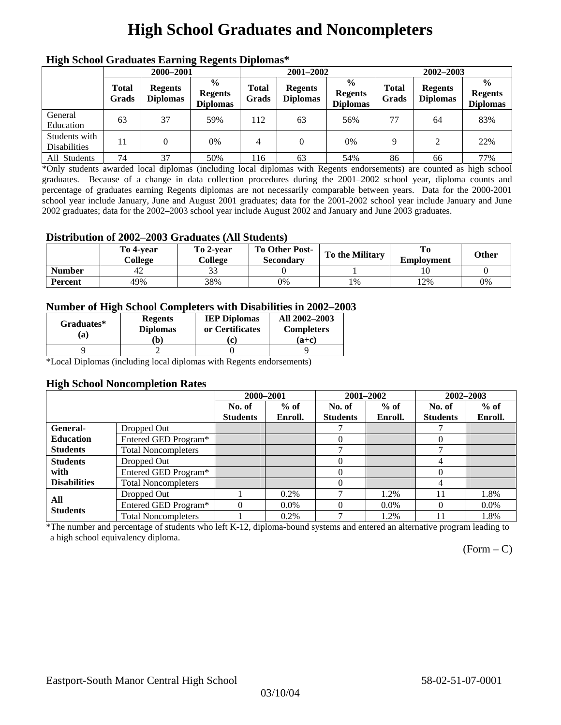## **High School Graduates and Noncompleters**

| ніді эспол этайнакі патінід кеденія вірюшая |                       |                                   |                                                    |                       |                                   |                                                    |                       |                                   |                                                    |  |
|---------------------------------------------|-----------------------|-----------------------------------|----------------------------------------------------|-----------------------|-----------------------------------|----------------------------------------------------|-----------------------|-----------------------------------|----------------------------------------------------|--|
|                                             | 2000-2001             |                                   |                                                    |                       | 2001-2002                         |                                                    |                       | 2002-2003                         |                                                    |  |
|                                             | <b>Total</b><br>Grads | <b>Regents</b><br><b>Diplomas</b> | $\frac{0}{0}$<br><b>Regents</b><br><b>Diplomas</b> | <b>Total</b><br>Grads | <b>Regents</b><br><b>Diplomas</b> | $\frac{6}{6}$<br><b>Regents</b><br><b>Diplomas</b> | <b>Total</b><br>Grads | <b>Regents</b><br><b>Diplomas</b> | $\frac{0}{0}$<br><b>Regents</b><br><b>Diplomas</b> |  |
| General<br>Education                        | 63                    | 37                                | 59%                                                | 112                   | 63                                | 56%                                                | 77                    | 64                                | 83%                                                |  |
| Students with<br><b>Disabilities</b>        |                       |                                   | $0\%$                                              | 4                     | $\Omega$                          | 0%                                                 | Q                     | $\gamma$                          | 22%                                                |  |
| All Students                                | 74                    | 37                                | 50%                                                | 116                   | 63                                | 54%                                                | 86                    | 66                                | 77%                                                |  |

### **High School Graduates Earning Regents Diplomas\***

\*Only students awarded local diplomas (including local diplomas with Regents endorsements) are counted as high school graduates. Because of a change in data collection procedures during the 2001–2002 school year, diploma counts and percentage of graduates earning Regents diplomas are not necessarily comparable between years. Data for the 2000-2001 school year include January, June and August 2001 graduates; data for the 2001-2002 school year include January and June 2002 graduates; data for the 2002–2003 school year include August 2002 and January and June 2003 graduates.

### **Distribution of 2002–2003 Graduates (All Students)**

|               | To 4-vear<br>College | To 2-vear<br>College | <b>To Other Post-</b><br><b>Secondary</b> | <b>To the Military</b> | <b>Employment</b> | Other |
|---------------|----------------------|----------------------|-------------------------------------------|------------------------|-------------------|-------|
| <b>Number</b> | 42                   | ີ~                   |                                           |                        |                   |       |
| Percent       | 49%                  | 38%                  | 0%                                        | 1%                     | 12%               | 0%    |

### **Number of High School Completers with Disabilities in 2002–2003**

| Graduates*<br>(a) | <b>Regents</b><br><b>Diplomas</b><br>b) | <b>IEP Diplomas</b><br>or Certificates<br>'ci | All 2002-2003<br><b>Completers</b><br>(a+c) |
|-------------------|-----------------------------------------|-----------------------------------------------|---------------------------------------------|
|                   |                                         |                                               |                                             |

\*Local Diplomas (including local diplomas with Regents endorsements)

#### **High School Noncompletion Rates**

|                     |                            | 2000-2001       |         | 2001-2002       |         |                 | 2002-2003 |  |
|---------------------|----------------------------|-----------------|---------|-----------------|---------|-----------------|-----------|--|
|                     |                            | No. of          | $%$ of  | No. of          | $%$ of  | No. of          | $%$ of    |  |
|                     |                            | <b>Students</b> | Enroll. | <b>Students</b> | Enroll. | <b>Students</b> | Enroll.   |  |
| General-            | Dropped Out                |                 |         |                 |         |                 |           |  |
| <b>Education</b>    | Entered GED Program*       |                 |         | 0               |         | $\Omega$        |           |  |
| <b>Students</b>     | <b>Total Noncompleters</b> |                 |         | ⇁               |         | −               |           |  |
| <b>Students</b>     | Dropped Out                |                 |         | 0               |         | 4               |           |  |
| with                | Entered GED Program*       |                 |         | 0               |         | 0               |           |  |
| <b>Disabilities</b> | <b>Total Noncompleters</b> |                 |         | 0               |         | 4               |           |  |
| All                 | Dropped Out                |                 | $0.2\%$ |                 | 1.2%    | 11              | 1.8%      |  |
| <b>Students</b>     | Entered GED Program*       | $\Omega$        | $0.0\%$ |                 | $0.0\%$ | $\theta$        | $0.0\%$   |  |
|                     | <b>Total Noncompleters</b> |                 | 0.2%    | ⇁               | 1.2%    | 11              | 1.8%      |  |

\*The number and percentage of students who left K-12, diploma-bound systems and entered an alternative program leading to a high school equivalency diploma.

 $(Form - C)$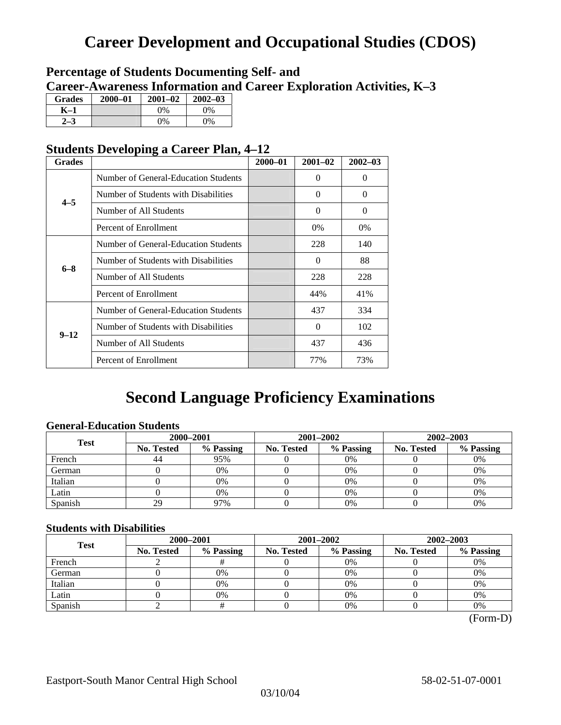## **Career Development and Occupational Studies (CDOS)**

### **Percentage of Students Documenting Self- and Career-Awareness Information and Career Exploration Activities, K–3**

| <b>Grades</b> | 2000-01 | $2001 - 02$ | $2002 - 03$ |
|---------------|---------|-------------|-------------|
| K–1           |         | $0\%$       | $0\%$       |
|               |         | $0\%$       | 9%          |

### **Students Developing a Career Plan, 4–12**

| <b>Grades</b> |                                      | $2000 - 01$ | $2001 - 02$ | $2002 - 03$ |
|---------------|--------------------------------------|-------------|-------------|-------------|
|               | Number of General-Education Students |             | $\theta$    | $\Omega$    |
| $4 - 5$       | Number of Students with Disabilities |             | $\Omega$    | $\Omega$    |
|               | Number of All Students               |             | $\Omega$    | $\Omega$    |
|               | Percent of Enrollment                |             | 0%          | 0%          |
|               | Number of General-Education Students |             | 228         | 140         |
|               | Number of Students with Disabilities |             | $\Omega$    | 88          |
|               | Number of All Students               |             | 228         | 228         |
| $6 - 8$       | Percent of Enrollment                |             | 44%         | 41%         |
|               | Number of General-Education Students |             | 437         | 334         |
|               | Number of Students with Disabilities |             | 0           | 102         |
| $9 - 12$      | Number of All Students               |             | 437         | 436         |
|               | Percent of Enrollment                |             | 77%         | 73%         |

### **Second Language Proficiency Examinations**

### **General-Education Students**

| <b>Test</b> |                   | 2000-2001 |            | 2001-2002 | 2002-2003         |           |  |
|-------------|-------------------|-----------|------------|-----------|-------------------|-----------|--|
|             | <b>No. Tested</b> | % Passing | No. Tested | % Passing | <b>No. Tested</b> | % Passing |  |
| French      | 44                | 95%       |            | $0\%$     |                   | 0%        |  |
| German      |                   | 0%        |            | 0%        |                   | 0%        |  |
| Italian     |                   | 0%        |            | 0%        |                   | 0%        |  |
| Latin       |                   | 0%        |            | 0%        |                   | 0%        |  |
| Spanish     | 29                | 97%       |            | 0%        |                   | 0%        |  |

### **Students with Disabilities**

| <b>Test</b> | 2000-2001         |           |                                                                            | 2001-2002 | 2002-2003 |    |  |
|-------------|-------------------|-----------|----------------------------------------------------------------------------|-----------|-----------|----|--|
|             | <b>No. Tested</b> | % Passing | % Passing<br>No. Tested<br><b>No. Tested</b><br>0%<br>0%<br>0%<br>0%<br>0% | % Passing |           |    |  |
| French      |                   |           |                                                                            |           |           | 0% |  |
| German      |                   |           |                                                                            |           |           | 0% |  |
| Italian     |                   |           |                                                                            |           |           | 0% |  |
| Latin       |                   | 0%        |                                                                            | $0\%$     |           | 0% |  |
| Spanish     |                   |           |                                                                            | 0%        |           | 0% |  |

 <sup>(</sup>Form-D)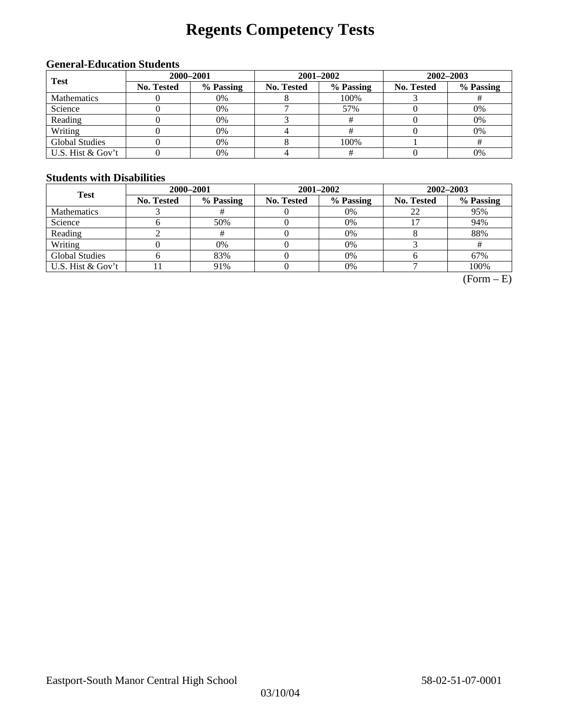# **Regents Competency Tests**

### **General-Education Students**

| <b>Test</b>           | 2000-2001         |           |            | $2001 - 2002$ | $2002 - 2003$     |           |  |
|-----------------------|-------------------|-----------|------------|---------------|-------------------|-----------|--|
|                       | <b>No. Tested</b> | % Passing | No. Tested | % Passing     | <b>No. Tested</b> | % Passing |  |
| <b>Mathematics</b>    |                   | 0%        |            | 100%          |                   |           |  |
| Science               |                   | 0%        |            | 57%           |                   | 0%        |  |
| Reading               |                   | 0%        |            |               |                   | 0%        |  |
| Writing               |                   | 0%        |            |               |                   | 0%        |  |
| <b>Global Studies</b> |                   | 0%        |            | 100%          |                   |           |  |
| U.S. Hist & Gov't     |                   | 0%        |            |               |                   | 0%        |  |

#### **Students with Disabilities**

| <b>Test</b>           | 2000-2001         |           |                   | 2001-2002 | 2002-2003  |           |  |
|-----------------------|-------------------|-----------|-------------------|-----------|------------|-----------|--|
|                       | <b>No. Tested</b> | % Passing | <b>No. Tested</b> | % Passing | No. Tested | % Passing |  |
| <b>Mathematics</b>    |                   |           |                   | $0\%$     |            | 95%       |  |
| Science               |                   | 50%       |                   | 0%        |            | 94%       |  |
| Reading               |                   |           |                   | 0%        |            | 88%       |  |
| Writing               |                   | 0%        |                   | $0\%$     |            |           |  |
| <b>Global Studies</b> |                   | 83%       |                   | $0\%$     |            | 67%       |  |
| U.S. Hist & Gov't     |                   | 91%       |                   | $0\%$     |            | 100%      |  |

 $(Form - E)$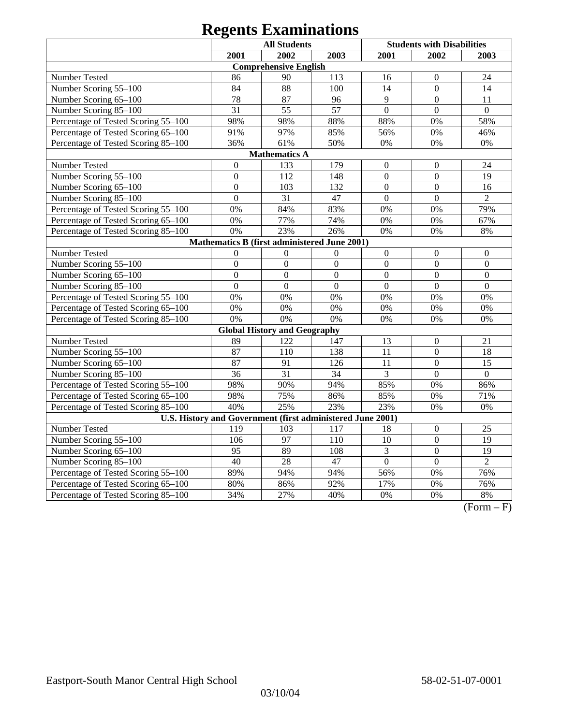| <b>All Students</b><br><b>Students with Disabilities</b>   |                  |                                     |                |                  |                  |                 |  |
|------------------------------------------------------------|------------------|-------------------------------------|----------------|------------------|------------------|-----------------|--|
|                                                            | 2001             | 2002                                | 2003           | 2001             | 2002             | 2003            |  |
|                                                            |                  | <b>Comprehensive English</b>        |                |                  |                  |                 |  |
| Number Tested                                              | 86               | 90                                  | 113            | 16               | $\Omega$         | 24              |  |
| Number Scoring 55-100                                      | 84               | 88                                  | 100            | 14               | $\overline{0}$   | 14              |  |
| Number Scoring 65-100                                      | 78               | 87                                  | 96             | 9                | $\Omega$         | 11              |  |
| Number Scoring 85-100                                      | 31               | 55                                  | 57             | $\overline{0}$   | $\overline{0}$   | $\overline{0}$  |  |
| Percentage of Tested Scoring 55-100                        | 98%              | 98%                                 | 88%            | 88%              | 0%               | 58%             |  |
| Percentage of Tested Scoring 65-100                        | 91%              | 97%                                 | 85%            | 56%              | 0%               | 46%             |  |
| Percentage of Tested Scoring 85-100                        | 36%              | 61%                                 | 50%            | 0%               | $0\%$            | 0%              |  |
|                                                            |                  | <b>Mathematics A</b>                |                |                  |                  |                 |  |
| Number Tested                                              | $\boldsymbol{0}$ | 133                                 | 179            | $\boldsymbol{0}$ | $\boldsymbol{0}$ | 24              |  |
| Number Scoring 55-100                                      | $\boldsymbol{0}$ | 112                                 | 148            | $\boldsymbol{0}$ | $\boldsymbol{0}$ | 19              |  |
| Number Scoring 65-100                                      | $\overline{0}$   | 103                                 | 132            | $\mathbf{0}$     | $\overline{0}$   | 16              |  |
| Number Scoring 85-100                                      | $\overline{0}$   | 31                                  | 47             | $\mathbf{0}$     | $\overline{0}$   | $\overline{2}$  |  |
| Percentage of Tested Scoring 55-100                        | 0%               | 84%                                 | 83%            | 0%               | 0%               | 79%             |  |
| Percentage of Tested Scoring 65-100                        | 0%               | 77%                                 | 74%            | 0%               | 0%               | 67%             |  |
| Percentage of Tested Scoring 85-100                        | 0%               | 23%                                 | 26%            | 0%               | 0%               | $8\%$           |  |
| Mathematics B (first administered June 2001)               |                  |                                     |                |                  |                  |                 |  |
| Number Tested                                              | $\overline{0}$   | $\overline{0}$                      | $\overline{0}$ | $\mathbf{0}$     | $\overline{0}$   | $\overline{0}$  |  |
| Number Scoring 55-100                                      | $\overline{0}$   | $\overline{0}$                      | $\overline{0}$ | $\mathbf{0}$     | $\overline{0}$   | $\mathbf{0}$    |  |
| Number Scoring 65-100                                      | $\overline{0}$   | $\overline{0}$                      | $\overline{0}$ | $\overline{0}$   | $\overline{0}$   | $\overline{0}$  |  |
| Number Scoring 85-100                                      | $\overline{0}$   | $\overline{0}$                      | $\overline{0}$ | $\overline{0}$   | $\overline{0}$   | $\overline{0}$  |  |
| Percentage of Tested Scoring 55-100                        | 0%               | 0%                                  | 0%             | 0%               | 0%               | 0%              |  |
| Percentage of Tested Scoring 65-100                        | 0%               | 0%                                  | 0%             | 0%               | 0%               | 0%              |  |
| Percentage of Tested Scoring 85-100                        | 0%               | 0%                                  | 0%             | 0%               | 0%               | 0%              |  |
|                                                            |                  | <b>Global History and Geography</b> |                |                  |                  |                 |  |
| Number Tested                                              | 89               | 122                                 | 147            | 13               | $\boldsymbol{0}$ | 21              |  |
| Number Scoring 55-100                                      | 87               | 110                                 | 138            | 11               | $\overline{0}$   | 18              |  |
| Number Scoring 65-100                                      | 87               | 91                                  | 126            | 11               | $\overline{0}$   | 15              |  |
| Number Scoring 85-100                                      | 36               | 31                                  | 34             | 3                | $\Omega$         | $\Omega$        |  |
| Percentage of Tested Scoring 55-100                        | 98%              | 90%                                 | 94%            | 85%              | 0%               | 86%             |  |
| Percentage of Tested Scoring 65-100                        | 98%              | 75%                                 | 86%            | 85%              | 0%               | 71%             |  |
| Percentage of Tested Scoring 85-100                        | 40%              | 25%                                 | 23%            | 23%              | 0%               | 0%              |  |
| U.S. History and Government (first administered June 2001) |                  |                                     |                |                  |                  |                 |  |
| Number Tested                                              | 119              | 103                                 | 117            | 18               | $\boldsymbol{0}$ | 25              |  |
| Number Scoring 55-100                                      | 106              | 97                                  | 110            | 10               | $\overline{0}$   | 19              |  |
| Number Scoring 65-100                                      | 95               | 89                                  | 108            | $\overline{3}$   | $\overline{0}$   | $\overline{19}$ |  |
| Number Scoring 85-100                                      | 40               | 28                                  | 47             | $\overline{0}$   | $\overline{0}$   | $\overline{2}$  |  |
| Percentage of Tested Scoring 55-100                        | 89%              | 94%                                 | 94%            | 56%              | 0%               | 76%             |  |
| Percentage of Tested Scoring 65-100                        | 80%              | 86%                                 | 92%            | 17%              | 0%               | 76%             |  |
| Percentage of Tested Scoring 85-100                        | 34%              | 27%                                 | 40%            | 0%               | 0%               | 8%              |  |

 $(Form - F)$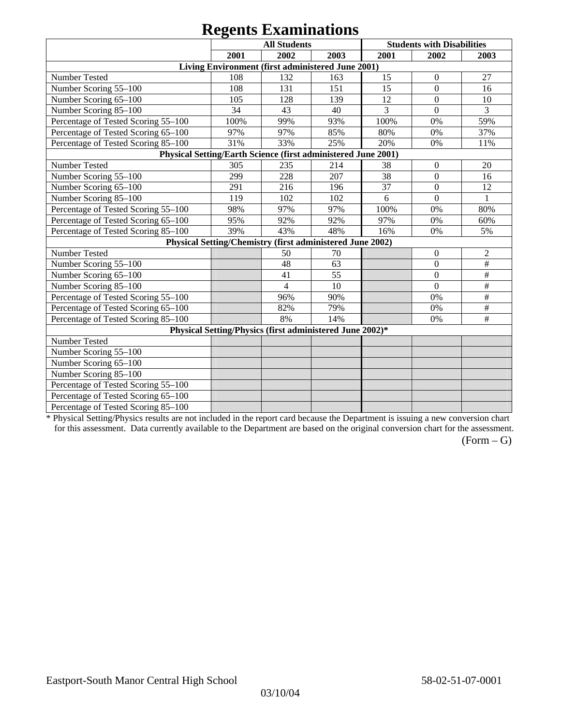|                                                               |      | $\sim$<br><b>All Students</b>                             |      |      | <b>Students with Disabilities</b> |                 |
|---------------------------------------------------------------|------|-----------------------------------------------------------|------|------|-----------------------------------|-----------------|
|                                                               | 2001 | 2002                                                      | 2003 | 2001 | 2002                              | 2003            |
|                                                               |      | Living Environment (first administered June 2001)         |      |      |                                   |                 |
| Number Tested                                                 | 108  | 132                                                       | 163  | 15   | $\mathbf{0}$                      | 27              |
| Number Scoring 55-100                                         | 108  | 131                                                       | 151  | 15   | $\mathbf{0}$                      | 16              |
| Number Scoring 65-100                                         | 105  | 128                                                       | 139  | 12   | $\overline{0}$                    | 10              |
| Number Scoring 85-100                                         | 34   | 43                                                        | 40   | 3    | $\Omega$                          | 3               |
| Percentage of Tested Scoring 55-100                           | 100% | 99%                                                       | 93%  | 100% | 0%                                | 59%             |
| Percentage of Tested Scoring 65-100                           | 97%  | 97%                                                       | 85%  | 80%  | 0%                                | 37%             |
| Percentage of Tested Scoring 85-100                           | 31%  | 33%                                                       | 25%  | 20%  | 0%                                | 11%             |
| Physical Setting/Earth Science (first administered June 2001) |      |                                                           |      |      |                                   |                 |
| Number Tested                                                 | 305  | 235                                                       | 214  | 38   | $\boldsymbol{0}$                  | 20              |
| Number Scoring 55-100                                         | 299  | 228                                                       | 207  | 38   | $\boldsymbol{0}$                  | 16              |
| Number Scoring 65-100                                         | 291  | 216                                                       | 196  | 37   | $\boldsymbol{0}$                  | 12              |
| Number Scoring 85-100                                         | 119  | 102                                                       | 102  | 6    | $\overline{0}$                    | 1               |
| Percentage of Tested Scoring 55-100                           | 98%  | 97%                                                       | 97%  | 100% | 0%                                | 80%             |
| Percentage of Tested Scoring 65-100                           | 95%  | 92%                                                       | 92%  | 97%  | 0%                                | 60%             |
| Percentage of Tested Scoring 85-100                           | 39%  | 43%                                                       | 48%  | 16%  | 0%                                | 5%              |
|                                                               |      | Physical Setting/Chemistry (first administered June 2002) |      |      |                                   |                 |
| Number Tested                                                 |      | 50                                                        | 70   |      | $\mathbf{0}$                      | $\overline{c}$  |
| Number Scoring 55-100                                         |      | 48                                                        | 63   |      | $\boldsymbol{0}$                  | $\#$            |
| Number Scoring 65-100                                         |      | 41                                                        | 55   |      | $\boldsymbol{0}$                  | $\#$            |
| Number Scoring 85-100                                         |      | $\overline{4}$                                            | 10   |      | $\mathbf{0}$                      | $\#$            |
| Percentage of Tested Scoring 55-100                           |      | 96%                                                       | 90%  |      | 0%                                | $\overline{\#}$ |
| Percentage of Tested Scoring 65-100                           |      | 82%                                                       | 79%  |      | 0%                                | $\#$            |
| Percentage of Tested Scoring 85-100                           |      | 8%                                                        | 14%  |      | 0%                                | $\#$            |
|                                                               |      | Physical Setting/Physics (first administered June 2002)*  |      |      |                                   |                 |
| Number Tested                                                 |      |                                                           |      |      |                                   |                 |
| Number Scoring 55-100                                         |      |                                                           |      |      |                                   |                 |
| Number Scoring 65-100                                         |      |                                                           |      |      |                                   |                 |
| Number Scoring 85-100                                         |      |                                                           |      |      |                                   |                 |
| Percentage of Tested Scoring 55-100                           |      |                                                           |      |      |                                   |                 |
| Percentage of Tested Scoring 65-100                           |      |                                                           |      |      |                                   |                 |
| Percentage of Tested Scoring 85-100                           |      |                                                           |      |      |                                   |                 |

\* Physical Setting/Physics results are not included in the report card because the Department is issuing a new conversion chart for this assessment. Data currently available to the Department are based on the original conversion chart for the assessment.

 $(Form - G)$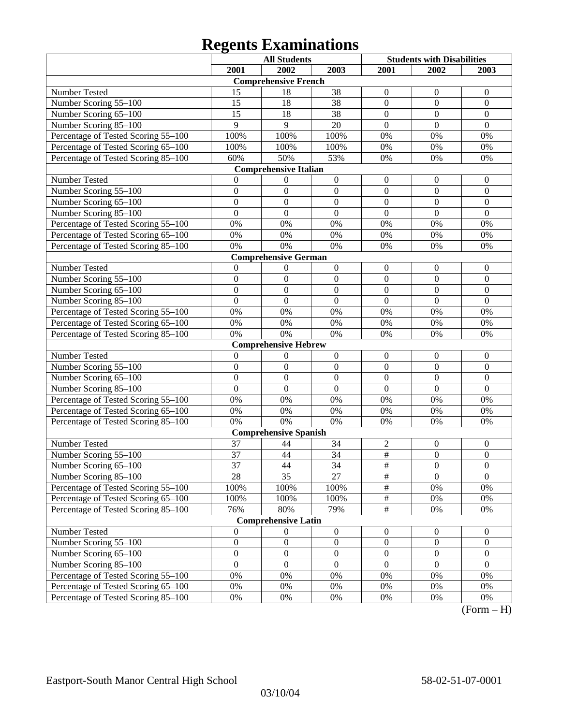| 2002<br>2002<br>2001<br>2003<br>2001<br>2003<br><b>Comprehensive French</b><br>38<br>Number Tested<br>$\mathbf{0}$<br>$\boldsymbol{0}$<br>$\overline{0}$<br>15<br>18<br>38<br>15<br>$\boldsymbol{0}$<br>$\boldsymbol{0}$<br>$\boldsymbol{0}$<br>Number Scoring 55-100<br>18<br>15<br>38<br>$\mathbf{0}$<br>$\overline{0}$<br>$\overline{0}$<br>Number Scoring 65-100<br>18<br>$\overline{9}$<br>$\overline{9}$<br>20<br>$\overline{0}$<br>$\overline{0}$<br>$\overline{0}$<br>Number Scoring 85-100<br>Percentage of Tested Scoring 55-100<br>100%<br>100%<br>100%<br>0%<br>0%<br>0%<br>Percentage of Tested Scoring 65-100<br>100%<br>100%<br>100%<br>0%<br>0%<br>0%<br>Percentage of Tested Scoring 85-100<br>53%<br>60%<br>50%<br>0%<br>0%<br>0%<br><b>Comprehensive Italian</b><br>$\boldsymbol{0}$<br>Number Tested<br>$\Omega$<br>$\boldsymbol{0}$<br>$\boldsymbol{0}$<br>$\boldsymbol{0}$<br>$\boldsymbol{0}$<br>$\mathbf{0}$<br>$\mathbf{0}$<br>$\overline{0}$<br>$\mathbf{0}$<br>$\mathbf{0}$<br>$\boldsymbol{0}$<br>Number Scoring 55-100<br>$\mathbf{0}$<br>$\mathbf{0}$<br>$\overline{0}$<br>Number Scoring 65-100<br>$\mathbf{0}$<br>$\overline{0}$<br>$\boldsymbol{0}$<br>$\mathbf{0}$<br>$\mathbf{0}$<br>$\overline{0}$<br>$\mathbf{0}$<br>Number Scoring 85-100<br>$\boldsymbol{0}$<br>$\overline{0}$<br>Percentage of Tested Scoring 55-100<br>$0\%$<br>0%<br>0%<br>0%<br>0%<br>0%<br>Percentage of Tested Scoring 65-100<br>$0\%$<br>0%<br>0%<br>0%<br>0%<br>0%<br>Percentage of Tested Scoring 85-100<br>0%<br>0%<br>0%<br>0%<br>0%<br>0%<br><b>Comprehensive German</b><br>Number Tested<br>$\boldsymbol{0}$<br>$\boldsymbol{0}$<br>$\boldsymbol{0}$<br>$\mathbf{0}$<br>$\boldsymbol{0}$<br>0<br>$\mathbf{0}$<br>$\mathbf{0}$<br>$\mathbf{0}$<br>$\boldsymbol{0}$<br>$\boldsymbol{0}$<br>Number Scoring 55-100<br>$\mathbf{0}$<br>$\mathbf{0}$<br>$\overline{0}$<br>$\overline{0}$<br>$\mathbf{0}$<br>$\mathbf{0}$<br>$\overline{0}$<br>Number Scoring 65-100<br>$\overline{0}$<br>$\overline{0}$<br>$\overline{0}$<br>$\mathbf{0}$<br>$\overline{0}$<br>Number Scoring 85-100<br>$\mathbf{0}$<br>Percentage of Tested Scoring 55-100<br>0%<br>0%<br>0%<br>0%<br>0%<br>0%<br>$0\%$<br>0%<br>Percentage of Tested Scoring 65-100<br>0%<br>0%<br>0%<br>0%<br>Percentage of Tested Scoring 85-100<br>0%<br>0%<br>0%<br>0%<br>0%<br>0%<br><b>Comprehensive Hebrew</b><br>Number Tested<br>$\mathbf{0}$<br>$\boldsymbol{0}$<br>$\boldsymbol{0}$<br>$\boldsymbol{0}$<br>$\boldsymbol{0}$<br>$\theta$<br>$\mathbf{0}$<br>$\mathbf{0}$<br>$\mathbf{0}$<br>Number Scoring 55-100<br>$\mathbf{0}$<br>$\boldsymbol{0}$<br>$\mathbf{0}$<br>$\mathbf{0}$<br>$\mathbf{0}$<br>$\mathbf{0}$<br>Number Scoring 65-100<br>$\mathbf{0}$<br>$\overline{0}$<br>$\boldsymbol{0}$<br>$\mathbf{0}$<br>$\mathbf{0}$<br>$\mathbf{0}$<br>$\mathbf{0}$<br>Number Scoring 85-100<br>$\boldsymbol{0}$<br>$\mathbf{0}$<br>Percentage of Tested Scoring 55-100<br>$0\%$<br>0%<br>0%<br>0%<br>0%<br>0%<br>Percentage of Tested Scoring 65-100<br>$0\%$<br>0%<br>0%<br>0%<br>0%<br>0%<br>Percentage of Tested Scoring 85-100<br>0%<br>0%<br>0%<br>0%<br>0%<br>0%<br><b>Comprehensive Spanish</b><br>37<br>34<br>$\sqrt{2}$<br>Number Tested<br>$\boldsymbol{0}$<br>$\boldsymbol{0}$<br>44<br>$\overline{\#}$<br>$\overline{37}$<br>34<br>$\mathbf{0}$<br>$\overline{0}$<br>44<br>Number Scoring 55-100<br>37<br>44<br>34<br>$\overline{\#}$<br>Number Scoring 65–100<br>$\theta$<br>$\theta$<br>$\overline{\#}$<br>35<br>27<br>$\overline{0}$<br>$\overline{0}$<br>28<br>Number Scoring 85-100<br>$\frac{1}{2}$<br>Percentage of Tested Scoring 55-100<br>100%<br>100%<br>100%<br>$0\%$<br>0%<br>$\frac{1}{2}$<br>Percentage of Tested Scoring 65-100<br>100%<br>100%<br>100%<br>0%<br>0%<br>$\frac{1}{2}$<br>79%<br>Percentage of Tested Scoring 85-100<br>76%<br>80%<br>$0\%$<br>0%<br><b>Comprehensive Latin</b><br>Number Tested<br>$\mathbf{0}$<br>$\boldsymbol{0}$<br>$\boldsymbol{0}$<br>$\boldsymbol{0}$<br>$\boldsymbol{0}$<br>$\boldsymbol{0}$<br>$\boldsymbol{0}$<br>$\boldsymbol{0}$<br>$\boldsymbol{0}$<br>$\boldsymbol{0}$<br>Number Scoring 55-100<br>$\boldsymbol{0}$<br>$\boldsymbol{0}$<br>$\boldsymbol{0}$<br>$\boldsymbol{0}$<br>$\boldsymbol{0}$<br>$\boldsymbol{0}$<br>Number Scoring 65-100<br>$\boldsymbol{0}$<br>$\overline{0}$<br>$\overline{0}$<br>$\boldsymbol{0}$<br>$\boldsymbol{0}$<br>Number Scoring 85-100<br>$\boldsymbol{0}$<br>$\mathbf{0}$<br>$\overline{0}$<br>$0\%$<br>Percentage of Tested Scoring 55-100<br>0%<br>0%<br>0%<br>$0\%$<br>0%<br>$0\%$<br>Percentage of Tested Scoring 65-100<br>0%<br>$0\%$<br>0%<br>0%<br>0% | <b>All Students</b> |  | <b>Students with Disabilities</b> |  |  |
|-------------------------------------------------------------------------------------------------------------------------------------------------------------------------------------------------------------------------------------------------------------------------------------------------------------------------------------------------------------------------------------------------------------------------------------------------------------------------------------------------------------------------------------------------------------------------------------------------------------------------------------------------------------------------------------------------------------------------------------------------------------------------------------------------------------------------------------------------------------------------------------------------------------------------------------------------------------------------------------------------------------------------------------------------------------------------------------------------------------------------------------------------------------------------------------------------------------------------------------------------------------------------------------------------------------------------------------------------------------------------------------------------------------------------------------------------------------------------------------------------------------------------------------------------------------------------------------------------------------------------------------------------------------------------------------------------------------------------------------------------------------------------------------------------------------------------------------------------------------------------------------------------------------------------------------------------------------------------------------------------------------------------------------------------------------------------------------------------------------------------------------------------------------------------------------------------------------------------------------------------------------------------------------------------------------------------------------------------------------------------------------------------------------------------------------------------------------------------------------------------------------------------------------------------------------------------------------------------------------------------------------------------------------------------------------------------------------------------------------------------------------------------------------------------------------------------------------------------------------------------------------------------------------------------------------------------------------------------------------------------------------------------------------------------------------------------------------------------------------------------------------------------------------------------------------------------------------------------------------------------------------------------------------------------------------------------------------------------------------------------------------------------------------------------------------------------------------------------------------------------------------------------------------------------------------------------------------------------------------------------------------------------------------------------------------------------------------------------------------------------------------------------------------------------------------------------------------------------------------------------------------------------------------------------------------------------------------------------------------------------------------------------------------------------------------------------------------------------------------------------------------------------------------------------------------------------------------------------------------------------------------------------------------------------------------------------------------------------------------------------------------------------------------------------------------------------------------------------------------------------------------------------------------------------------------------------------------------------------------------------------------------------------|---------------------|--|-----------------------------------|--|--|
|                                                                                                                                                                                                                                                                                                                                                                                                                                                                                                                                                                                                                                                                                                                                                                                                                                                                                                                                                                                                                                                                                                                                                                                                                                                                                                                                                                                                                                                                                                                                                                                                                                                                                                                                                                                                                                                                                                                                                                                                                                                                                                                                                                                                                                                                                                                                                                                                                                                                                                                                                                                                                                                                                                                                                                                                                                                                                                                                                                                                                                                                                                                                                                                                                                                                                                                                                                                                                                                                                                                                                                                                                                                                                                                                                                                                                                                                                                                                                                                                                                                                                                                                                                                                                                                                                                                                                                                                                                                                                                                                                                                                                                                       |                     |  |                                   |  |  |
|                                                                                                                                                                                                                                                                                                                                                                                                                                                                                                                                                                                                                                                                                                                                                                                                                                                                                                                                                                                                                                                                                                                                                                                                                                                                                                                                                                                                                                                                                                                                                                                                                                                                                                                                                                                                                                                                                                                                                                                                                                                                                                                                                                                                                                                                                                                                                                                                                                                                                                                                                                                                                                                                                                                                                                                                                                                                                                                                                                                                                                                                                                                                                                                                                                                                                                                                                                                                                                                                                                                                                                                                                                                                                                                                                                                                                                                                                                                                                                                                                                                                                                                                                                                                                                                                                                                                                                                                                                                                                                                                                                                                                                                       |                     |  |                                   |  |  |
|                                                                                                                                                                                                                                                                                                                                                                                                                                                                                                                                                                                                                                                                                                                                                                                                                                                                                                                                                                                                                                                                                                                                                                                                                                                                                                                                                                                                                                                                                                                                                                                                                                                                                                                                                                                                                                                                                                                                                                                                                                                                                                                                                                                                                                                                                                                                                                                                                                                                                                                                                                                                                                                                                                                                                                                                                                                                                                                                                                                                                                                                                                                                                                                                                                                                                                                                                                                                                                                                                                                                                                                                                                                                                                                                                                                                                                                                                                                                                                                                                                                                                                                                                                                                                                                                                                                                                                                                                                                                                                                                                                                                                                                       |                     |  |                                   |  |  |
|                                                                                                                                                                                                                                                                                                                                                                                                                                                                                                                                                                                                                                                                                                                                                                                                                                                                                                                                                                                                                                                                                                                                                                                                                                                                                                                                                                                                                                                                                                                                                                                                                                                                                                                                                                                                                                                                                                                                                                                                                                                                                                                                                                                                                                                                                                                                                                                                                                                                                                                                                                                                                                                                                                                                                                                                                                                                                                                                                                                                                                                                                                                                                                                                                                                                                                                                                                                                                                                                                                                                                                                                                                                                                                                                                                                                                                                                                                                                                                                                                                                                                                                                                                                                                                                                                                                                                                                                                                                                                                                                                                                                                                                       |                     |  |                                   |  |  |
|                                                                                                                                                                                                                                                                                                                                                                                                                                                                                                                                                                                                                                                                                                                                                                                                                                                                                                                                                                                                                                                                                                                                                                                                                                                                                                                                                                                                                                                                                                                                                                                                                                                                                                                                                                                                                                                                                                                                                                                                                                                                                                                                                                                                                                                                                                                                                                                                                                                                                                                                                                                                                                                                                                                                                                                                                                                                                                                                                                                                                                                                                                                                                                                                                                                                                                                                                                                                                                                                                                                                                                                                                                                                                                                                                                                                                                                                                                                                                                                                                                                                                                                                                                                                                                                                                                                                                                                                                                                                                                                                                                                                                                                       |                     |  |                                   |  |  |
|                                                                                                                                                                                                                                                                                                                                                                                                                                                                                                                                                                                                                                                                                                                                                                                                                                                                                                                                                                                                                                                                                                                                                                                                                                                                                                                                                                                                                                                                                                                                                                                                                                                                                                                                                                                                                                                                                                                                                                                                                                                                                                                                                                                                                                                                                                                                                                                                                                                                                                                                                                                                                                                                                                                                                                                                                                                                                                                                                                                                                                                                                                                                                                                                                                                                                                                                                                                                                                                                                                                                                                                                                                                                                                                                                                                                                                                                                                                                                                                                                                                                                                                                                                                                                                                                                                                                                                                                                                                                                                                                                                                                                                                       |                     |  |                                   |  |  |
|                                                                                                                                                                                                                                                                                                                                                                                                                                                                                                                                                                                                                                                                                                                                                                                                                                                                                                                                                                                                                                                                                                                                                                                                                                                                                                                                                                                                                                                                                                                                                                                                                                                                                                                                                                                                                                                                                                                                                                                                                                                                                                                                                                                                                                                                                                                                                                                                                                                                                                                                                                                                                                                                                                                                                                                                                                                                                                                                                                                                                                                                                                                                                                                                                                                                                                                                                                                                                                                                                                                                                                                                                                                                                                                                                                                                                                                                                                                                                                                                                                                                                                                                                                                                                                                                                                                                                                                                                                                                                                                                                                                                                                                       |                     |  |                                   |  |  |
|                                                                                                                                                                                                                                                                                                                                                                                                                                                                                                                                                                                                                                                                                                                                                                                                                                                                                                                                                                                                                                                                                                                                                                                                                                                                                                                                                                                                                                                                                                                                                                                                                                                                                                                                                                                                                                                                                                                                                                                                                                                                                                                                                                                                                                                                                                                                                                                                                                                                                                                                                                                                                                                                                                                                                                                                                                                                                                                                                                                                                                                                                                                                                                                                                                                                                                                                                                                                                                                                                                                                                                                                                                                                                                                                                                                                                                                                                                                                                                                                                                                                                                                                                                                                                                                                                                                                                                                                                                                                                                                                                                                                                                                       |                     |  |                                   |  |  |
|                                                                                                                                                                                                                                                                                                                                                                                                                                                                                                                                                                                                                                                                                                                                                                                                                                                                                                                                                                                                                                                                                                                                                                                                                                                                                                                                                                                                                                                                                                                                                                                                                                                                                                                                                                                                                                                                                                                                                                                                                                                                                                                                                                                                                                                                                                                                                                                                                                                                                                                                                                                                                                                                                                                                                                                                                                                                                                                                                                                                                                                                                                                                                                                                                                                                                                                                                                                                                                                                                                                                                                                                                                                                                                                                                                                                                                                                                                                                                                                                                                                                                                                                                                                                                                                                                                                                                                                                                                                                                                                                                                                                                                                       |                     |  |                                   |  |  |
|                                                                                                                                                                                                                                                                                                                                                                                                                                                                                                                                                                                                                                                                                                                                                                                                                                                                                                                                                                                                                                                                                                                                                                                                                                                                                                                                                                                                                                                                                                                                                                                                                                                                                                                                                                                                                                                                                                                                                                                                                                                                                                                                                                                                                                                                                                                                                                                                                                                                                                                                                                                                                                                                                                                                                                                                                                                                                                                                                                                                                                                                                                                                                                                                                                                                                                                                                                                                                                                                                                                                                                                                                                                                                                                                                                                                                                                                                                                                                                                                                                                                                                                                                                                                                                                                                                                                                                                                                                                                                                                                                                                                                                                       |                     |  |                                   |  |  |
|                                                                                                                                                                                                                                                                                                                                                                                                                                                                                                                                                                                                                                                                                                                                                                                                                                                                                                                                                                                                                                                                                                                                                                                                                                                                                                                                                                                                                                                                                                                                                                                                                                                                                                                                                                                                                                                                                                                                                                                                                                                                                                                                                                                                                                                                                                                                                                                                                                                                                                                                                                                                                                                                                                                                                                                                                                                                                                                                                                                                                                                                                                                                                                                                                                                                                                                                                                                                                                                                                                                                                                                                                                                                                                                                                                                                                                                                                                                                                                                                                                                                                                                                                                                                                                                                                                                                                                                                                                                                                                                                                                                                                                                       |                     |  |                                   |  |  |
|                                                                                                                                                                                                                                                                                                                                                                                                                                                                                                                                                                                                                                                                                                                                                                                                                                                                                                                                                                                                                                                                                                                                                                                                                                                                                                                                                                                                                                                                                                                                                                                                                                                                                                                                                                                                                                                                                                                                                                                                                                                                                                                                                                                                                                                                                                                                                                                                                                                                                                                                                                                                                                                                                                                                                                                                                                                                                                                                                                                                                                                                                                                                                                                                                                                                                                                                                                                                                                                                                                                                                                                                                                                                                                                                                                                                                                                                                                                                                                                                                                                                                                                                                                                                                                                                                                                                                                                                                                                                                                                                                                                                                                                       |                     |  |                                   |  |  |
|                                                                                                                                                                                                                                                                                                                                                                                                                                                                                                                                                                                                                                                                                                                                                                                                                                                                                                                                                                                                                                                                                                                                                                                                                                                                                                                                                                                                                                                                                                                                                                                                                                                                                                                                                                                                                                                                                                                                                                                                                                                                                                                                                                                                                                                                                                                                                                                                                                                                                                                                                                                                                                                                                                                                                                                                                                                                                                                                                                                                                                                                                                                                                                                                                                                                                                                                                                                                                                                                                                                                                                                                                                                                                                                                                                                                                                                                                                                                                                                                                                                                                                                                                                                                                                                                                                                                                                                                                                                                                                                                                                                                                                                       |                     |  |                                   |  |  |
|                                                                                                                                                                                                                                                                                                                                                                                                                                                                                                                                                                                                                                                                                                                                                                                                                                                                                                                                                                                                                                                                                                                                                                                                                                                                                                                                                                                                                                                                                                                                                                                                                                                                                                                                                                                                                                                                                                                                                                                                                                                                                                                                                                                                                                                                                                                                                                                                                                                                                                                                                                                                                                                                                                                                                                                                                                                                                                                                                                                                                                                                                                                                                                                                                                                                                                                                                                                                                                                                                                                                                                                                                                                                                                                                                                                                                                                                                                                                                                                                                                                                                                                                                                                                                                                                                                                                                                                                                                                                                                                                                                                                                                                       |                     |  |                                   |  |  |
|                                                                                                                                                                                                                                                                                                                                                                                                                                                                                                                                                                                                                                                                                                                                                                                                                                                                                                                                                                                                                                                                                                                                                                                                                                                                                                                                                                                                                                                                                                                                                                                                                                                                                                                                                                                                                                                                                                                                                                                                                                                                                                                                                                                                                                                                                                                                                                                                                                                                                                                                                                                                                                                                                                                                                                                                                                                                                                                                                                                                                                                                                                                                                                                                                                                                                                                                                                                                                                                                                                                                                                                                                                                                                                                                                                                                                                                                                                                                                                                                                                                                                                                                                                                                                                                                                                                                                                                                                                                                                                                                                                                                                                                       |                     |  |                                   |  |  |
|                                                                                                                                                                                                                                                                                                                                                                                                                                                                                                                                                                                                                                                                                                                                                                                                                                                                                                                                                                                                                                                                                                                                                                                                                                                                                                                                                                                                                                                                                                                                                                                                                                                                                                                                                                                                                                                                                                                                                                                                                                                                                                                                                                                                                                                                                                                                                                                                                                                                                                                                                                                                                                                                                                                                                                                                                                                                                                                                                                                                                                                                                                                                                                                                                                                                                                                                                                                                                                                                                                                                                                                                                                                                                                                                                                                                                                                                                                                                                                                                                                                                                                                                                                                                                                                                                                                                                                                                                                                                                                                                                                                                                                                       |                     |  |                                   |  |  |
|                                                                                                                                                                                                                                                                                                                                                                                                                                                                                                                                                                                                                                                                                                                                                                                                                                                                                                                                                                                                                                                                                                                                                                                                                                                                                                                                                                                                                                                                                                                                                                                                                                                                                                                                                                                                                                                                                                                                                                                                                                                                                                                                                                                                                                                                                                                                                                                                                                                                                                                                                                                                                                                                                                                                                                                                                                                                                                                                                                                                                                                                                                                                                                                                                                                                                                                                                                                                                                                                                                                                                                                                                                                                                                                                                                                                                                                                                                                                                                                                                                                                                                                                                                                                                                                                                                                                                                                                                                                                                                                                                                                                                                                       |                     |  |                                   |  |  |
|                                                                                                                                                                                                                                                                                                                                                                                                                                                                                                                                                                                                                                                                                                                                                                                                                                                                                                                                                                                                                                                                                                                                                                                                                                                                                                                                                                                                                                                                                                                                                                                                                                                                                                                                                                                                                                                                                                                                                                                                                                                                                                                                                                                                                                                                                                                                                                                                                                                                                                                                                                                                                                                                                                                                                                                                                                                                                                                                                                                                                                                                                                                                                                                                                                                                                                                                                                                                                                                                                                                                                                                                                                                                                                                                                                                                                                                                                                                                                                                                                                                                                                                                                                                                                                                                                                                                                                                                                                                                                                                                                                                                                                                       |                     |  |                                   |  |  |
|                                                                                                                                                                                                                                                                                                                                                                                                                                                                                                                                                                                                                                                                                                                                                                                                                                                                                                                                                                                                                                                                                                                                                                                                                                                                                                                                                                                                                                                                                                                                                                                                                                                                                                                                                                                                                                                                                                                                                                                                                                                                                                                                                                                                                                                                                                                                                                                                                                                                                                                                                                                                                                                                                                                                                                                                                                                                                                                                                                                                                                                                                                                                                                                                                                                                                                                                                                                                                                                                                                                                                                                                                                                                                                                                                                                                                                                                                                                                                                                                                                                                                                                                                                                                                                                                                                                                                                                                                                                                                                                                                                                                                                                       |                     |  |                                   |  |  |
|                                                                                                                                                                                                                                                                                                                                                                                                                                                                                                                                                                                                                                                                                                                                                                                                                                                                                                                                                                                                                                                                                                                                                                                                                                                                                                                                                                                                                                                                                                                                                                                                                                                                                                                                                                                                                                                                                                                                                                                                                                                                                                                                                                                                                                                                                                                                                                                                                                                                                                                                                                                                                                                                                                                                                                                                                                                                                                                                                                                                                                                                                                                                                                                                                                                                                                                                                                                                                                                                                                                                                                                                                                                                                                                                                                                                                                                                                                                                                                                                                                                                                                                                                                                                                                                                                                                                                                                                                                                                                                                                                                                                                                                       |                     |  |                                   |  |  |
|                                                                                                                                                                                                                                                                                                                                                                                                                                                                                                                                                                                                                                                                                                                                                                                                                                                                                                                                                                                                                                                                                                                                                                                                                                                                                                                                                                                                                                                                                                                                                                                                                                                                                                                                                                                                                                                                                                                                                                                                                                                                                                                                                                                                                                                                                                                                                                                                                                                                                                                                                                                                                                                                                                                                                                                                                                                                                                                                                                                                                                                                                                                                                                                                                                                                                                                                                                                                                                                                                                                                                                                                                                                                                                                                                                                                                                                                                                                                                                                                                                                                                                                                                                                                                                                                                                                                                                                                                                                                                                                                                                                                                                                       |                     |  |                                   |  |  |
|                                                                                                                                                                                                                                                                                                                                                                                                                                                                                                                                                                                                                                                                                                                                                                                                                                                                                                                                                                                                                                                                                                                                                                                                                                                                                                                                                                                                                                                                                                                                                                                                                                                                                                                                                                                                                                                                                                                                                                                                                                                                                                                                                                                                                                                                                                                                                                                                                                                                                                                                                                                                                                                                                                                                                                                                                                                                                                                                                                                                                                                                                                                                                                                                                                                                                                                                                                                                                                                                                                                                                                                                                                                                                                                                                                                                                                                                                                                                                                                                                                                                                                                                                                                                                                                                                                                                                                                                                                                                                                                                                                                                                                                       |                     |  |                                   |  |  |
|                                                                                                                                                                                                                                                                                                                                                                                                                                                                                                                                                                                                                                                                                                                                                                                                                                                                                                                                                                                                                                                                                                                                                                                                                                                                                                                                                                                                                                                                                                                                                                                                                                                                                                                                                                                                                                                                                                                                                                                                                                                                                                                                                                                                                                                                                                                                                                                                                                                                                                                                                                                                                                                                                                                                                                                                                                                                                                                                                                                                                                                                                                                                                                                                                                                                                                                                                                                                                                                                                                                                                                                                                                                                                                                                                                                                                                                                                                                                                                                                                                                                                                                                                                                                                                                                                                                                                                                                                                                                                                                                                                                                                                                       |                     |  |                                   |  |  |
|                                                                                                                                                                                                                                                                                                                                                                                                                                                                                                                                                                                                                                                                                                                                                                                                                                                                                                                                                                                                                                                                                                                                                                                                                                                                                                                                                                                                                                                                                                                                                                                                                                                                                                                                                                                                                                                                                                                                                                                                                                                                                                                                                                                                                                                                                                                                                                                                                                                                                                                                                                                                                                                                                                                                                                                                                                                                                                                                                                                                                                                                                                                                                                                                                                                                                                                                                                                                                                                                                                                                                                                                                                                                                                                                                                                                                                                                                                                                                                                                                                                                                                                                                                                                                                                                                                                                                                                                                                                                                                                                                                                                                                                       |                     |  |                                   |  |  |
|                                                                                                                                                                                                                                                                                                                                                                                                                                                                                                                                                                                                                                                                                                                                                                                                                                                                                                                                                                                                                                                                                                                                                                                                                                                                                                                                                                                                                                                                                                                                                                                                                                                                                                                                                                                                                                                                                                                                                                                                                                                                                                                                                                                                                                                                                                                                                                                                                                                                                                                                                                                                                                                                                                                                                                                                                                                                                                                                                                                                                                                                                                                                                                                                                                                                                                                                                                                                                                                                                                                                                                                                                                                                                                                                                                                                                                                                                                                                                                                                                                                                                                                                                                                                                                                                                                                                                                                                                                                                                                                                                                                                                                                       |                     |  |                                   |  |  |
|                                                                                                                                                                                                                                                                                                                                                                                                                                                                                                                                                                                                                                                                                                                                                                                                                                                                                                                                                                                                                                                                                                                                                                                                                                                                                                                                                                                                                                                                                                                                                                                                                                                                                                                                                                                                                                                                                                                                                                                                                                                                                                                                                                                                                                                                                                                                                                                                                                                                                                                                                                                                                                                                                                                                                                                                                                                                                                                                                                                                                                                                                                                                                                                                                                                                                                                                                                                                                                                                                                                                                                                                                                                                                                                                                                                                                                                                                                                                                                                                                                                                                                                                                                                                                                                                                                                                                                                                                                                                                                                                                                                                                                                       |                     |  |                                   |  |  |
|                                                                                                                                                                                                                                                                                                                                                                                                                                                                                                                                                                                                                                                                                                                                                                                                                                                                                                                                                                                                                                                                                                                                                                                                                                                                                                                                                                                                                                                                                                                                                                                                                                                                                                                                                                                                                                                                                                                                                                                                                                                                                                                                                                                                                                                                                                                                                                                                                                                                                                                                                                                                                                                                                                                                                                                                                                                                                                                                                                                                                                                                                                                                                                                                                                                                                                                                                                                                                                                                                                                                                                                                                                                                                                                                                                                                                                                                                                                                                                                                                                                                                                                                                                                                                                                                                                                                                                                                                                                                                                                                                                                                                                                       |                     |  |                                   |  |  |
|                                                                                                                                                                                                                                                                                                                                                                                                                                                                                                                                                                                                                                                                                                                                                                                                                                                                                                                                                                                                                                                                                                                                                                                                                                                                                                                                                                                                                                                                                                                                                                                                                                                                                                                                                                                                                                                                                                                                                                                                                                                                                                                                                                                                                                                                                                                                                                                                                                                                                                                                                                                                                                                                                                                                                                                                                                                                                                                                                                                                                                                                                                                                                                                                                                                                                                                                                                                                                                                                                                                                                                                                                                                                                                                                                                                                                                                                                                                                                                                                                                                                                                                                                                                                                                                                                                                                                                                                                                                                                                                                                                                                                                                       |                     |  |                                   |  |  |
|                                                                                                                                                                                                                                                                                                                                                                                                                                                                                                                                                                                                                                                                                                                                                                                                                                                                                                                                                                                                                                                                                                                                                                                                                                                                                                                                                                                                                                                                                                                                                                                                                                                                                                                                                                                                                                                                                                                                                                                                                                                                                                                                                                                                                                                                                                                                                                                                                                                                                                                                                                                                                                                                                                                                                                                                                                                                                                                                                                                                                                                                                                                                                                                                                                                                                                                                                                                                                                                                                                                                                                                                                                                                                                                                                                                                                                                                                                                                                                                                                                                                                                                                                                                                                                                                                                                                                                                                                                                                                                                                                                                                                                                       |                     |  |                                   |  |  |
|                                                                                                                                                                                                                                                                                                                                                                                                                                                                                                                                                                                                                                                                                                                                                                                                                                                                                                                                                                                                                                                                                                                                                                                                                                                                                                                                                                                                                                                                                                                                                                                                                                                                                                                                                                                                                                                                                                                                                                                                                                                                                                                                                                                                                                                                                                                                                                                                                                                                                                                                                                                                                                                                                                                                                                                                                                                                                                                                                                                                                                                                                                                                                                                                                                                                                                                                                                                                                                                                                                                                                                                                                                                                                                                                                                                                                                                                                                                                                                                                                                                                                                                                                                                                                                                                                                                                                                                                                                                                                                                                                                                                                                                       |                     |  |                                   |  |  |
|                                                                                                                                                                                                                                                                                                                                                                                                                                                                                                                                                                                                                                                                                                                                                                                                                                                                                                                                                                                                                                                                                                                                                                                                                                                                                                                                                                                                                                                                                                                                                                                                                                                                                                                                                                                                                                                                                                                                                                                                                                                                                                                                                                                                                                                                                                                                                                                                                                                                                                                                                                                                                                                                                                                                                                                                                                                                                                                                                                                                                                                                                                                                                                                                                                                                                                                                                                                                                                                                                                                                                                                                                                                                                                                                                                                                                                                                                                                                                                                                                                                                                                                                                                                                                                                                                                                                                                                                                                                                                                                                                                                                                                                       |                     |  |                                   |  |  |
|                                                                                                                                                                                                                                                                                                                                                                                                                                                                                                                                                                                                                                                                                                                                                                                                                                                                                                                                                                                                                                                                                                                                                                                                                                                                                                                                                                                                                                                                                                                                                                                                                                                                                                                                                                                                                                                                                                                                                                                                                                                                                                                                                                                                                                                                                                                                                                                                                                                                                                                                                                                                                                                                                                                                                                                                                                                                                                                                                                                                                                                                                                                                                                                                                                                                                                                                                                                                                                                                                                                                                                                                                                                                                                                                                                                                                                                                                                                                                                                                                                                                                                                                                                                                                                                                                                                                                                                                                                                                                                                                                                                                                                                       |                     |  |                                   |  |  |
|                                                                                                                                                                                                                                                                                                                                                                                                                                                                                                                                                                                                                                                                                                                                                                                                                                                                                                                                                                                                                                                                                                                                                                                                                                                                                                                                                                                                                                                                                                                                                                                                                                                                                                                                                                                                                                                                                                                                                                                                                                                                                                                                                                                                                                                                                                                                                                                                                                                                                                                                                                                                                                                                                                                                                                                                                                                                                                                                                                                                                                                                                                                                                                                                                                                                                                                                                                                                                                                                                                                                                                                                                                                                                                                                                                                                                                                                                                                                                                                                                                                                                                                                                                                                                                                                                                                                                                                                                                                                                                                                                                                                                                                       |                     |  |                                   |  |  |
|                                                                                                                                                                                                                                                                                                                                                                                                                                                                                                                                                                                                                                                                                                                                                                                                                                                                                                                                                                                                                                                                                                                                                                                                                                                                                                                                                                                                                                                                                                                                                                                                                                                                                                                                                                                                                                                                                                                                                                                                                                                                                                                                                                                                                                                                                                                                                                                                                                                                                                                                                                                                                                                                                                                                                                                                                                                                                                                                                                                                                                                                                                                                                                                                                                                                                                                                                                                                                                                                                                                                                                                                                                                                                                                                                                                                                                                                                                                                                                                                                                                                                                                                                                                                                                                                                                                                                                                                                                                                                                                                                                                                                                                       |                     |  |                                   |  |  |
|                                                                                                                                                                                                                                                                                                                                                                                                                                                                                                                                                                                                                                                                                                                                                                                                                                                                                                                                                                                                                                                                                                                                                                                                                                                                                                                                                                                                                                                                                                                                                                                                                                                                                                                                                                                                                                                                                                                                                                                                                                                                                                                                                                                                                                                                                                                                                                                                                                                                                                                                                                                                                                                                                                                                                                                                                                                                                                                                                                                                                                                                                                                                                                                                                                                                                                                                                                                                                                                                                                                                                                                                                                                                                                                                                                                                                                                                                                                                                                                                                                                                                                                                                                                                                                                                                                                                                                                                                                                                                                                                                                                                                                                       |                     |  |                                   |  |  |
|                                                                                                                                                                                                                                                                                                                                                                                                                                                                                                                                                                                                                                                                                                                                                                                                                                                                                                                                                                                                                                                                                                                                                                                                                                                                                                                                                                                                                                                                                                                                                                                                                                                                                                                                                                                                                                                                                                                                                                                                                                                                                                                                                                                                                                                                                                                                                                                                                                                                                                                                                                                                                                                                                                                                                                                                                                                                                                                                                                                                                                                                                                                                                                                                                                                                                                                                                                                                                                                                                                                                                                                                                                                                                                                                                                                                                                                                                                                                                                                                                                                                                                                                                                                                                                                                                                                                                                                                                                                                                                                                                                                                                                                       |                     |  |                                   |  |  |
|                                                                                                                                                                                                                                                                                                                                                                                                                                                                                                                                                                                                                                                                                                                                                                                                                                                                                                                                                                                                                                                                                                                                                                                                                                                                                                                                                                                                                                                                                                                                                                                                                                                                                                                                                                                                                                                                                                                                                                                                                                                                                                                                                                                                                                                                                                                                                                                                                                                                                                                                                                                                                                                                                                                                                                                                                                                                                                                                                                                                                                                                                                                                                                                                                                                                                                                                                                                                                                                                                                                                                                                                                                                                                                                                                                                                                                                                                                                                                                                                                                                                                                                                                                                                                                                                                                                                                                                                                                                                                                                                                                                                                                                       |                     |  |                                   |  |  |
|                                                                                                                                                                                                                                                                                                                                                                                                                                                                                                                                                                                                                                                                                                                                                                                                                                                                                                                                                                                                                                                                                                                                                                                                                                                                                                                                                                                                                                                                                                                                                                                                                                                                                                                                                                                                                                                                                                                                                                                                                                                                                                                                                                                                                                                                                                                                                                                                                                                                                                                                                                                                                                                                                                                                                                                                                                                                                                                                                                                                                                                                                                                                                                                                                                                                                                                                                                                                                                                                                                                                                                                                                                                                                                                                                                                                                                                                                                                                                                                                                                                                                                                                                                                                                                                                                                                                                                                                                                                                                                                                                                                                                                                       |                     |  |                                   |  |  |
|                                                                                                                                                                                                                                                                                                                                                                                                                                                                                                                                                                                                                                                                                                                                                                                                                                                                                                                                                                                                                                                                                                                                                                                                                                                                                                                                                                                                                                                                                                                                                                                                                                                                                                                                                                                                                                                                                                                                                                                                                                                                                                                                                                                                                                                                                                                                                                                                                                                                                                                                                                                                                                                                                                                                                                                                                                                                                                                                                                                                                                                                                                                                                                                                                                                                                                                                                                                                                                                                                                                                                                                                                                                                                                                                                                                                                                                                                                                                                                                                                                                                                                                                                                                                                                                                                                                                                                                                                                                                                                                                                                                                                                                       |                     |  |                                   |  |  |
|                                                                                                                                                                                                                                                                                                                                                                                                                                                                                                                                                                                                                                                                                                                                                                                                                                                                                                                                                                                                                                                                                                                                                                                                                                                                                                                                                                                                                                                                                                                                                                                                                                                                                                                                                                                                                                                                                                                                                                                                                                                                                                                                                                                                                                                                                                                                                                                                                                                                                                                                                                                                                                                                                                                                                                                                                                                                                                                                                                                                                                                                                                                                                                                                                                                                                                                                                                                                                                                                                                                                                                                                                                                                                                                                                                                                                                                                                                                                                                                                                                                                                                                                                                                                                                                                                                                                                                                                                                                                                                                                                                                                                                                       |                     |  |                                   |  |  |
|                                                                                                                                                                                                                                                                                                                                                                                                                                                                                                                                                                                                                                                                                                                                                                                                                                                                                                                                                                                                                                                                                                                                                                                                                                                                                                                                                                                                                                                                                                                                                                                                                                                                                                                                                                                                                                                                                                                                                                                                                                                                                                                                                                                                                                                                                                                                                                                                                                                                                                                                                                                                                                                                                                                                                                                                                                                                                                                                                                                                                                                                                                                                                                                                                                                                                                                                                                                                                                                                                                                                                                                                                                                                                                                                                                                                                                                                                                                                                                                                                                                                                                                                                                                                                                                                                                                                                                                                                                                                                                                                                                                                                                                       |                     |  |                                   |  |  |
|                                                                                                                                                                                                                                                                                                                                                                                                                                                                                                                                                                                                                                                                                                                                                                                                                                                                                                                                                                                                                                                                                                                                                                                                                                                                                                                                                                                                                                                                                                                                                                                                                                                                                                                                                                                                                                                                                                                                                                                                                                                                                                                                                                                                                                                                                                                                                                                                                                                                                                                                                                                                                                                                                                                                                                                                                                                                                                                                                                                                                                                                                                                                                                                                                                                                                                                                                                                                                                                                                                                                                                                                                                                                                                                                                                                                                                                                                                                                                                                                                                                                                                                                                                                                                                                                                                                                                                                                                                                                                                                                                                                                                                                       |                     |  |                                   |  |  |
|                                                                                                                                                                                                                                                                                                                                                                                                                                                                                                                                                                                                                                                                                                                                                                                                                                                                                                                                                                                                                                                                                                                                                                                                                                                                                                                                                                                                                                                                                                                                                                                                                                                                                                                                                                                                                                                                                                                                                                                                                                                                                                                                                                                                                                                                                                                                                                                                                                                                                                                                                                                                                                                                                                                                                                                                                                                                                                                                                                                                                                                                                                                                                                                                                                                                                                                                                                                                                                                                                                                                                                                                                                                                                                                                                                                                                                                                                                                                                                                                                                                                                                                                                                                                                                                                                                                                                                                                                                                                                                                                                                                                                                                       |                     |  |                                   |  |  |
|                                                                                                                                                                                                                                                                                                                                                                                                                                                                                                                                                                                                                                                                                                                                                                                                                                                                                                                                                                                                                                                                                                                                                                                                                                                                                                                                                                                                                                                                                                                                                                                                                                                                                                                                                                                                                                                                                                                                                                                                                                                                                                                                                                                                                                                                                                                                                                                                                                                                                                                                                                                                                                                                                                                                                                                                                                                                                                                                                                                                                                                                                                                                                                                                                                                                                                                                                                                                                                                                                                                                                                                                                                                                                                                                                                                                                                                                                                                                                                                                                                                                                                                                                                                                                                                                                                                                                                                                                                                                                                                                                                                                                                                       |                     |  |                                   |  |  |
|                                                                                                                                                                                                                                                                                                                                                                                                                                                                                                                                                                                                                                                                                                                                                                                                                                                                                                                                                                                                                                                                                                                                                                                                                                                                                                                                                                                                                                                                                                                                                                                                                                                                                                                                                                                                                                                                                                                                                                                                                                                                                                                                                                                                                                                                                                                                                                                                                                                                                                                                                                                                                                                                                                                                                                                                                                                                                                                                                                                                                                                                                                                                                                                                                                                                                                                                                                                                                                                                                                                                                                                                                                                                                                                                                                                                                                                                                                                                                                                                                                                                                                                                                                                                                                                                                                                                                                                                                                                                                                                                                                                                                                                       |                     |  |                                   |  |  |
|                                                                                                                                                                                                                                                                                                                                                                                                                                                                                                                                                                                                                                                                                                                                                                                                                                                                                                                                                                                                                                                                                                                                                                                                                                                                                                                                                                                                                                                                                                                                                                                                                                                                                                                                                                                                                                                                                                                                                                                                                                                                                                                                                                                                                                                                                                                                                                                                                                                                                                                                                                                                                                                                                                                                                                                                                                                                                                                                                                                                                                                                                                                                                                                                                                                                                                                                                                                                                                                                                                                                                                                                                                                                                                                                                                                                                                                                                                                                                                                                                                                                                                                                                                                                                                                                                                                                                                                                                                                                                                                                                                                                                                                       |                     |  |                                   |  |  |
|                                                                                                                                                                                                                                                                                                                                                                                                                                                                                                                                                                                                                                                                                                                                                                                                                                                                                                                                                                                                                                                                                                                                                                                                                                                                                                                                                                                                                                                                                                                                                                                                                                                                                                                                                                                                                                                                                                                                                                                                                                                                                                                                                                                                                                                                                                                                                                                                                                                                                                                                                                                                                                                                                                                                                                                                                                                                                                                                                                                                                                                                                                                                                                                                                                                                                                                                                                                                                                                                                                                                                                                                                                                                                                                                                                                                                                                                                                                                                                                                                                                                                                                                                                                                                                                                                                                                                                                                                                                                                                                                                                                                                                                       |                     |  |                                   |  |  |
|                                                                                                                                                                                                                                                                                                                                                                                                                                                                                                                                                                                                                                                                                                                                                                                                                                                                                                                                                                                                                                                                                                                                                                                                                                                                                                                                                                                                                                                                                                                                                                                                                                                                                                                                                                                                                                                                                                                                                                                                                                                                                                                                                                                                                                                                                                                                                                                                                                                                                                                                                                                                                                                                                                                                                                                                                                                                                                                                                                                                                                                                                                                                                                                                                                                                                                                                                                                                                                                                                                                                                                                                                                                                                                                                                                                                                                                                                                                                                                                                                                                                                                                                                                                                                                                                                                                                                                                                                                                                                                                                                                                                                                                       |                     |  |                                   |  |  |
| Percentage of Tested Scoring 85-100<br>$0\%$<br>$0\%$<br>$0\%$<br>$0\%$<br>$0\%$<br>$0\%$                                                                                                                                                                                                                                                                                                                                                                                                                                                                                                                                                                                                                                                                                                                                                                                                                                                                                                                                                                                                                                                                                                                                                                                                                                                                                                                                                                                                                                                                                                                                                                                                                                                                                                                                                                                                                                                                                                                                                                                                                                                                                                                                                                                                                                                                                                                                                                                                                                                                                                                                                                                                                                                                                                                                                                                                                                                                                                                                                                                                                                                                                                                                                                                                                                                                                                                                                                                                                                                                                                                                                                                                                                                                                                                                                                                                                                                                                                                                                                                                                                                                                                                                                                                                                                                                                                                                                                                                                                                                                                                                                             |                     |  |                                   |  |  |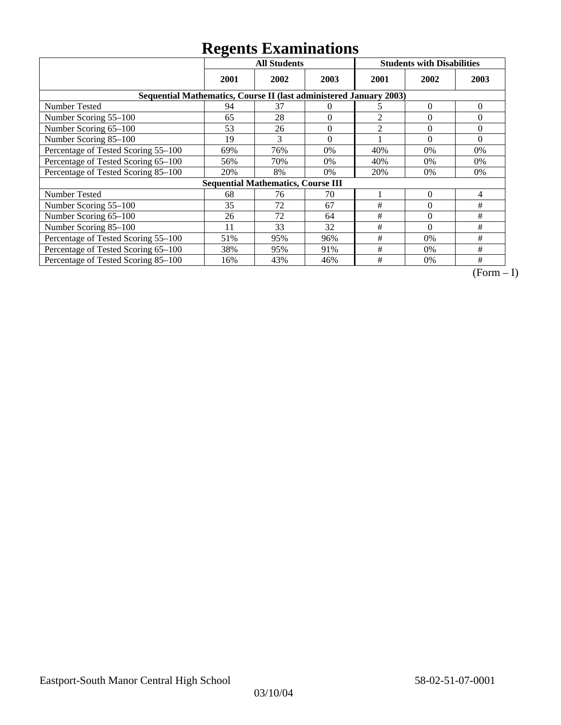|                                                                    | ິ<br><b>All Students</b> |                                           |          | <b>Students with Disabilities</b> |          |          |
|--------------------------------------------------------------------|--------------------------|-------------------------------------------|----------|-----------------------------------|----------|----------|
|                                                                    | 2001                     | 2002                                      | 2003     | 2001                              | 2002     | 2003     |
| Sequential Mathematics, Course II (last administered January 2003) |                          |                                           |          |                                   |          |          |
| <b>Number Tested</b>                                               | 94                       | 37                                        | $\Omega$ | 5                                 | $\Omega$ | $\theta$ |
| Number Scoring 55-100                                              | 65                       | 28                                        | $\theta$ | 2                                 | $\theta$ | $\Omega$ |
| Number Scoring 65-100                                              | 53                       | 26                                        | $\theta$ | $\overline{2}$                    | $\theta$ | $\Omega$ |
| Number Scoring 85-100                                              | 19                       | 3                                         | $\theta$ |                                   | $\theta$ | $\Omega$ |
| Percentage of Tested Scoring 55-100                                | 69%                      | 76%                                       | 0%       | 40%                               | 0%       | 0%       |
| Percentage of Tested Scoring 65-100                                | 56%                      | 70%                                       | 0%       | 40%                               | 0%       | 0%       |
| Percentage of Tested Scoring 85-100                                | 20%                      | 8%                                        | 0%       | 20%                               | 0%       | 0%       |
|                                                                    |                          | <b>Sequential Mathematics, Course III</b> |          |                                   |          |          |
| <b>Number Tested</b>                                               | 68                       | 76                                        | 70       |                                   | $\Omega$ | 4        |
| Number Scoring 55-100                                              | 35                       | 72                                        | 67       | #                                 | $\Omega$ | #        |
| Number Scoring 65-100                                              | 26                       | 72                                        | 64       | #                                 | $\theta$ | #        |
| Number Scoring 85-100                                              | 11                       | 33                                        | 32       | #                                 | $\Omega$ | #        |
| Percentage of Tested Scoring 55-100                                | 51%                      | 95%                                       | 96%      | #                                 | 0%       | #        |
| Percentage of Tested Scoring 65-100                                | 38%                      | 95%                                       | 91%      | #                                 | 0%       | #        |
| Percentage of Tested Scoring 85-100                                | 16%                      | 43%                                       | 46%      | #                                 | 0%       | #        |

 $\overline{(Form-I)}$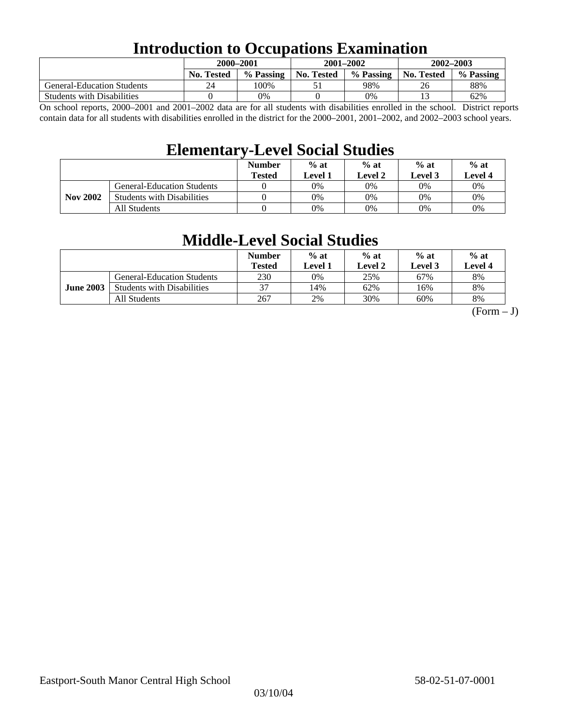### **Introduction to Occupations Examination**

|                                   | 2000-2001         |           | $2001 - 2002$     |           | $2002 - 2003$ |           |  |
|-----------------------------------|-------------------|-----------|-------------------|-----------|---------------|-----------|--|
|                                   | <b>No. Tested</b> | % Passing | <b>No. Tested</b> | % Passing | No. Tested    | % Passing |  |
| <b>General-Education Students</b> | 24                | 100%      |                   | 98%       | 26            | 88%       |  |
| <b>Students with Disabilities</b> |                   | 0%        |                   | 0%        |               | 62%       |  |

On school reports, 2000–2001 and 2001–2002 data are for all students with disabilities enrolled in the school. District reports contain data for all students with disabilities enrolled in the district for the 2000–2001, 2001–2002, and 2002–2003 school years.

### **Elementary-Level Social Studies**

|                 |                                   | <b>Number</b><br><b>Tested</b> | $%$ at<br>Level 1 | $%$ at<br>$%$ at<br>Level 3<br>Level 2 |    | $%$ at<br>Level 4 |
|-----------------|-----------------------------------|--------------------------------|-------------------|----------------------------------------|----|-------------------|
| <b>Nov 2002</b> | <b>General-Education Students</b> |                                | 0%                | 0%                                     | 0% | 0%                |
|                 | <b>Students with Disabilities</b> |                                | 0%                | 0%                                     | 0% | $0\%$             |
|                 | All Students                      |                                | 0%                | 0%                                     | 0% | $0\%$             |

### **Middle-Level Social Studies**

|                  |                                   | <b>Number</b><br>Tested | $%$ at<br>Level 1 | $%$ at<br>Level 2 | $%$ at<br>Level 3 | $%$ at<br>Level 4 |
|------------------|-----------------------------------|-------------------------|-------------------|-------------------|-------------------|-------------------|
| <b>June 2003</b> | <b>General-Education Students</b> | 230                     | 0%                | 25%               | 67%               | 8%                |
|                  | <b>Students with Disabilities</b> | 37                      | 14%               | 62%               | 16%               | 8%                |
|                  | All Students                      | 267                     | 2%                | 30%               | 60%               | 8%                |

 $(Form - J)$